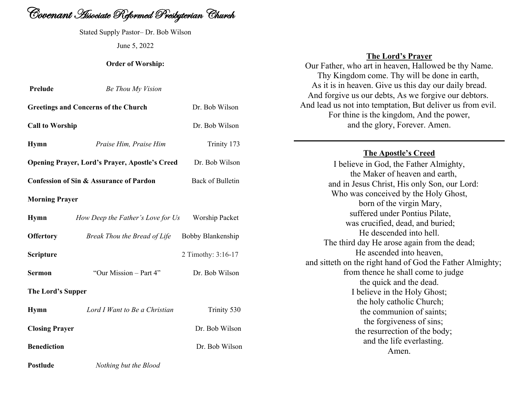

Stated Supply Pastor– Dr. Bob Wilson June 5, 2022

### **Order of Worship:**

| Prelude                | Be Thou My Vision                                     |                    |
|------------------------|-------------------------------------------------------|--------------------|
|                        | <b>Greetings and Concerns of the Church</b>           | Dr. Bob Wilson     |
| <b>Call to Worship</b> |                                                       | Dr. Bob Wilson     |
| <b>Hymn</b>            | Praise Him, Praise Him                                | Trinity 173        |
|                        | <b>Opening Prayer, Lord's Prayer, Apostle's Creed</b> | Dr. Bob Wilson     |
|                        | <b>Confession of Sin &amp; Assurance of Pardon</b>    | Back of Bulletin   |
| <b>Morning Prayer</b>  |                                                       |                    |
| <b>Hymn</b>            | How Deep the Father's Love for Us                     | Worship Packet     |
| <b>Offertory</b>       | Break Thou the Bread of Life                          | Bobby Blankenship  |
| Scripture              |                                                       | 2 Timothy: 3:16-17 |
| <b>Sermon</b>          | "Our Mission – Part 4"                                | Dr. Bob Wilson     |
| The Lord's Supper      |                                                       |                    |
| <b>Hymn</b>            | Lord I Want to Be a Christian                         | Trinity 530        |
| <b>Closing Prayer</b>  |                                                       | Dr. Bob Wilson     |

**Benediction** Dr. Bob Wilson

**Postlude** *Nothing but the Blood*

## **The Lord's Prayer**

Our Father, who art in heaven, Hallowed be thy Name. Thy Kingdom come. Thy will be done in earth, As it is in heaven. Give us this day our daily bread. And forgive us our debts, As we forgive our debtors. And lead us not into temptation, But deliver us from evil. For thine is the kingdom, And the power, and the glory, Forever. Amen.

# **The Apostle's Creed**

I believe in God, the Father Almighty, the Maker of heaven and earth, and in Jesus Christ, His only Son, our Lord: Who was conceived by the Holy Ghost, born of the virgin Mary, suffered under Pontius Pilate, was crucified, dead, and buried; He descended into hell. The third day He arose again from the dead; He ascended into heaven, and sitteth on the right hand of God the Father Almighty; from thence he shall come to judge the quick and the dead. I believe in the Holy Ghost; the holy catholic Church; the communion of saints; the forgiveness of sins; the resurrection of the body; and the life everlasting. Amen.